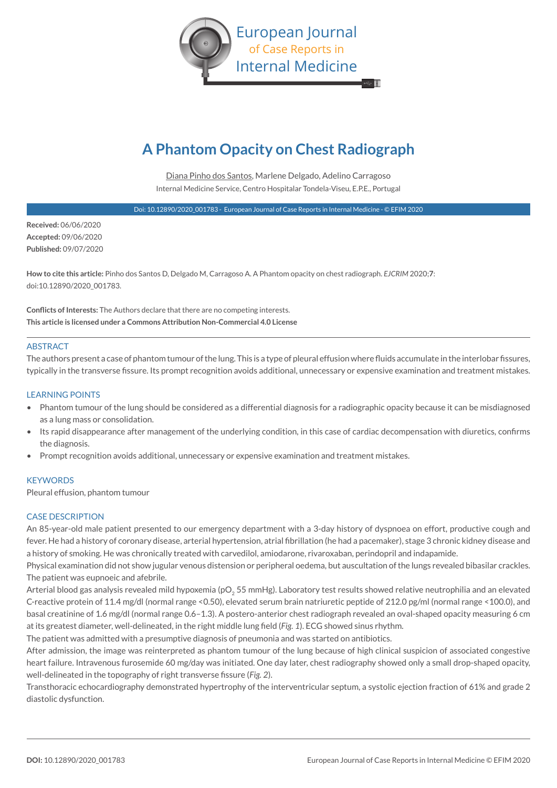

# **A Phantom Opacity on Chest Radiograph**

Diana Pinho dos Santos, Marlene Delgado, Adelino Carragoso Internal Medicine Service, Centro Hospitalar Tondela-Viseu, E.P.E., Portugal

Doi: 10.12890/2020\_001783 - European Journal of Case Reports in Internal Medicine - © EFIM 2020

**Received:** 06/06/2020 **Accepted:** 09/06/2020 **Published:** 09/07/2020

**How to cite this article:** Pinho dos Santos D, Delgado M, Carragoso A. A Phantom opacity on chest radiograph. *EJCRIM* 2020;**7**: doi:10.12890/2020\_001783.

**Conflicts of Interests:** The Authors declare that there are no competing interests. **This article is licensed under a Commons Attribution Non-Commercial 4.0 License**

### ABSTRACT

The authors present a case of phantom tumour of the lung. This is a type of pleural effusion where fluids accumulate in the interlobar fissures, typically in the transverse fissure. Its prompt recognition avoids additional, unnecessary or expensive examination and treatment mistakes.

#### LEARNING POINTS

- Phantom tumour of the lung should be considered as a differential diagnosis for a radiographic opacity because it can be misdiagnosed as a lung mass or consolidation.
- Its rapid disappearance after management of the underlying condition, in this case of cardiac decompensation with diuretics, confirms the diagnosis.
- Prompt recognition avoids additional, unnecessary or expensive examination and treatment mistakes.

#### **KEYWORDS**

Pleural effusion, phantom tumour

#### CASE DESCRIPTION

An 85-year-old male patient presented to our emergency department with a 3-day history of dyspnoea on effort, productive cough and fever. He had a history of coronary disease, arterial hypertension, atrial fibrillation (he had a pacemaker), stage 3 chronic kidney disease and a history of smoking. He was chronically treated with carvedilol, amiodarone, rivaroxaban, perindopril and indapamide.

Physical examination did not show jugular venous distension or peripheral oedema, but auscultation of the lungs revealed bibasilar crackles. The patient was eupnoeic and afebrile.

Arterial blood gas analysis revealed mild hypoxemia (pO<sub>2</sub> 55 mmHg). Laboratory test results showed relative neutrophilia and an elevated C-reactive protein of 11.4 mg/dl (normal range <0.50), elevated serum brain natriuretic peptide of 212.0 pg/ml (normal range <100.0), and basal creatinine of 1.6 mg/dl (normal range 0.6–1.3). A postero-anterior chest radiograph revealed an oval-shaped opacity measuring 6 cm at its greatest diameter, well-delineated, in the right middle lung field (*Fig. 1*). ECG showed sinus rhythm.

The patient was admitted with a presumptive diagnosis of pneumonia and was started on antibiotics.

After admission, the image was reinterpreted as phantom tumour of the lung because of high clinical suspicion of associated congestive heart failure. Intravenous furosemide 60 mg/day was initiated. One day later, chest radiography showed only a small drop-shaped opacity, well-delineated in the topography of right transverse fissure (*Fig. 2*).

Transthoracic echocardiography demonstrated hypertrophy of the interventricular septum, a systolic ejection fraction of 61% and grade 2 diastolic dysfunction.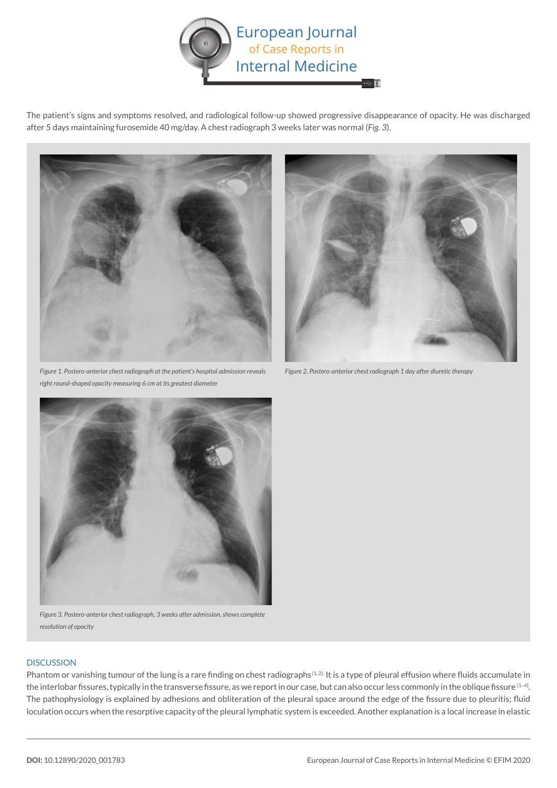

The patient's signs and symptoms resolved, and radiological follow-up showed progressive disappearance of opacity. He was discharged after 5 days maintaining furosemide 40 mg/day. A chest radiograph 3 weeks later was normal (*Fig. 3*).



*Figure 1. Postero-anterior chest radiograph at the patient's hospital admission reveals right round-shaped opacity measuring 6 cm at its greatest diameter*



*Figure 2. Postero-anterior chest radiograph 1 day after diuretic therapy*



*Figure 3. Postero-anterior chest radiograph, 3 weeks after admission, shows complete resolution of opacity*

## **DISCUSSION**

Phantom or vanishing tumour of the lung is a rare finding on chest radiographs<sup>[1, 2]</sup>. It is a type of pleural effusion where fluids accumulate in the interlobar fissures, typically in the transverse fissure, as we report in our case, but can also occur less commonly in the oblique fissure [1-4]. The pathophysiology is explained by adhesions and obliteration of the pleural space around the edge of the fissure due to pleuritis; fluid loculation occurs when the resorptive capacity of the pleural lymphatic system is exceeded. Another explanation is a local increase in elastic